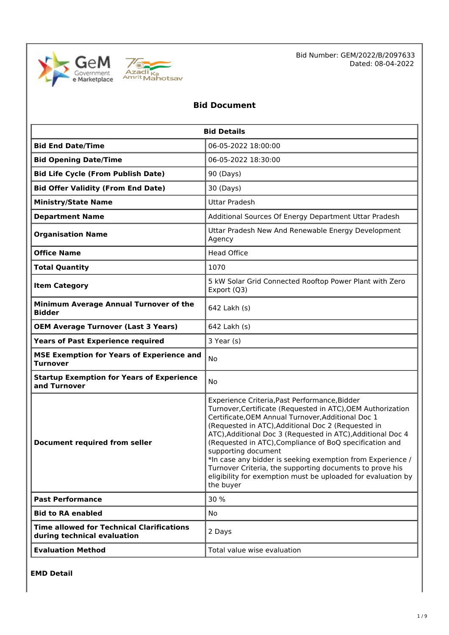



Bid Number: GEM/2022/B/2097633 Dated: 08-04-2022

# **Bid Document**

| <b>Bid Details</b>                                                              |                                                                                                                                                                                                                                                                                                                                                                                                                                                                                                                                                                                  |  |  |
|---------------------------------------------------------------------------------|----------------------------------------------------------------------------------------------------------------------------------------------------------------------------------------------------------------------------------------------------------------------------------------------------------------------------------------------------------------------------------------------------------------------------------------------------------------------------------------------------------------------------------------------------------------------------------|--|--|
| <b>Bid End Date/Time</b>                                                        | 06-05-2022 18:00:00                                                                                                                                                                                                                                                                                                                                                                                                                                                                                                                                                              |  |  |
| <b>Bid Opening Date/Time</b>                                                    | 06-05-2022 18:30:00                                                                                                                                                                                                                                                                                                                                                                                                                                                                                                                                                              |  |  |
| <b>Bid Life Cycle (From Publish Date)</b>                                       | 90 (Days)                                                                                                                                                                                                                                                                                                                                                                                                                                                                                                                                                                        |  |  |
| <b>Bid Offer Validity (From End Date)</b>                                       | 30 (Days)                                                                                                                                                                                                                                                                                                                                                                                                                                                                                                                                                                        |  |  |
| <b>Ministry/State Name</b>                                                      | <b>Uttar Pradesh</b>                                                                                                                                                                                                                                                                                                                                                                                                                                                                                                                                                             |  |  |
| <b>Department Name</b>                                                          | Additional Sources Of Energy Department Uttar Pradesh                                                                                                                                                                                                                                                                                                                                                                                                                                                                                                                            |  |  |
| <b>Organisation Name</b>                                                        | Uttar Pradesh New And Renewable Energy Development<br>Agency                                                                                                                                                                                                                                                                                                                                                                                                                                                                                                                     |  |  |
| <b>Office Name</b>                                                              | <b>Head Office</b>                                                                                                                                                                                                                                                                                                                                                                                                                                                                                                                                                               |  |  |
| <b>Total Quantity</b>                                                           | 1070                                                                                                                                                                                                                                                                                                                                                                                                                                                                                                                                                                             |  |  |
| <b>Item Category</b>                                                            | 5 kW Solar Grid Connected Rooftop Power Plant with Zero<br>Export (Q3)                                                                                                                                                                                                                                                                                                                                                                                                                                                                                                           |  |  |
| Minimum Average Annual Turnover of the<br><b>Bidder</b>                         | 642 Lakh (s)                                                                                                                                                                                                                                                                                                                                                                                                                                                                                                                                                                     |  |  |
| <b>OEM Average Turnover (Last 3 Years)</b>                                      | 642 Lakh (s)                                                                                                                                                                                                                                                                                                                                                                                                                                                                                                                                                                     |  |  |
| <b>Years of Past Experience required</b>                                        | 3 Year (s)                                                                                                                                                                                                                                                                                                                                                                                                                                                                                                                                                                       |  |  |
| <b>MSE Exemption for Years of Experience and</b><br><b>Turnover</b>             | No                                                                                                                                                                                                                                                                                                                                                                                                                                                                                                                                                                               |  |  |
| <b>Startup Exemption for Years of Experience</b><br>and Turnover                | No                                                                                                                                                                                                                                                                                                                                                                                                                                                                                                                                                                               |  |  |
| <b>Document required from seller</b>                                            | Experience Criteria, Past Performance, Bidder<br>Turnover, Certificate (Requested in ATC), OEM Authorization<br>Certificate, OEM Annual Turnover, Additional Doc 1<br>(Requested in ATC), Additional Doc 2 (Requested in<br>ATC), Additional Doc 3 (Requested in ATC), Additional Doc 4<br>(Requested in ATC), Compliance of BoQ specification and<br>supporting document<br>*In case any bidder is seeking exemption from Experience /<br>Turnover Criteria, the supporting documents to prove his<br>eligibility for exemption must be uploaded for evaluation by<br>the buyer |  |  |
| <b>Past Performance</b>                                                         | 30 %                                                                                                                                                                                                                                                                                                                                                                                                                                                                                                                                                                             |  |  |
| <b>Bid to RA enabled</b>                                                        | No                                                                                                                                                                                                                                                                                                                                                                                                                                                                                                                                                                               |  |  |
| <b>Time allowed for Technical Clarifications</b><br>during technical evaluation | 2 Days                                                                                                                                                                                                                                                                                                                                                                                                                                                                                                                                                                           |  |  |
| <b>Evaluation Method</b>                                                        | Total value wise evaluation                                                                                                                                                                                                                                                                                                                                                                                                                                                                                                                                                      |  |  |

**EMD Detail**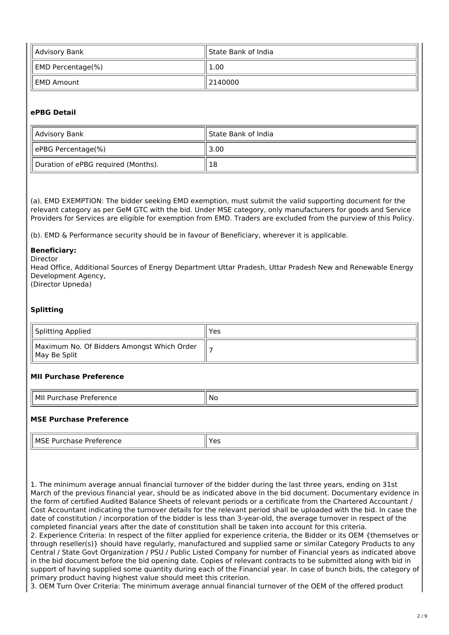| Advisory Bank                 | ll State Bank of India |
|-------------------------------|------------------------|
| $\parallel$ EMD Percentage(%) | 1.00                   |
| ll EMD Amount                 | 2140000                |

## **ePBG Detail**

| Advisory Bank                       | ll State Bank of India |
|-------------------------------------|------------------------|
| ePBG Percentage(%)                  | 3.00                   |
| Duration of ePBG required (Months). | 18                     |

(a). EMD EXEMPTION: The bidder seeking EMD exemption, must submit the valid supporting document for the relevant category as per GeM GTC with the bid. Under MSE category, only manufacturers for goods and Service Providers for Services are eligible for exemption from EMD. Traders are excluded from the purview of this Policy.

(b). EMD & Performance security should be in favour of Beneficiary, wherever it is applicable.

#### **Beneficiary:**

Director

Head Office, Additional Sources of Energy Department Uttar Pradesh, Uttar Pradesh New and Renewable Energy Development Agency, (Director Upneda)

**Splitting**

| Splitting Applied                                             | Yes |
|---------------------------------------------------------------|-----|
| Maximum No. Of Bidders Amongst Which Order<br>   May Be Split |     |

#### **MII Purchase Preference**

| l Mi<br>.<br>- - -<br>7 H H<br>. | .NC<br>$\sim$ |
|----------------------------------|---------------|

#### **MSE Purchase Preference**

| ⊥ MS′<br>ΠI<br>- 10<br>. | $\sim$<br>--<br>ີ<br>$ -$ |
|--------------------------|---------------------------|

1. The minimum average annual financial turnover of the bidder during the last three years, ending on 31st March of the previous financial year, should be as indicated above in the bid document. Documentary evidence in the form of certified Audited Balance Sheets of relevant periods or a certificate from the Chartered Accountant / Cost Accountant indicating the turnover details for the relevant period shall be uploaded with the bid. In case the date of constitution / incorporation of the bidder is less than 3-year-old, the average turnover in respect of the completed financial years after the date of constitution shall be taken into account for this criteria.

2. Experience Criteria: In respect of the filter applied for experience criteria, the Bidder or its OEM {themselves or through reseller(s)} should have regularly, manufactured and supplied same or similar Category Products to any Central / State Govt Organization / PSU / Public Listed Company for number of Financial years as indicated above in the bid document before the bid opening date. Copies of relevant contracts to be submitted along with bid in support of having supplied some quantity during each of the Financial year. In case of bunch bids, the category of primary product having highest value should meet this criterion.

3. OEM Turn Over Criteria: The minimum average annual financial turnover of the OEM of the offered product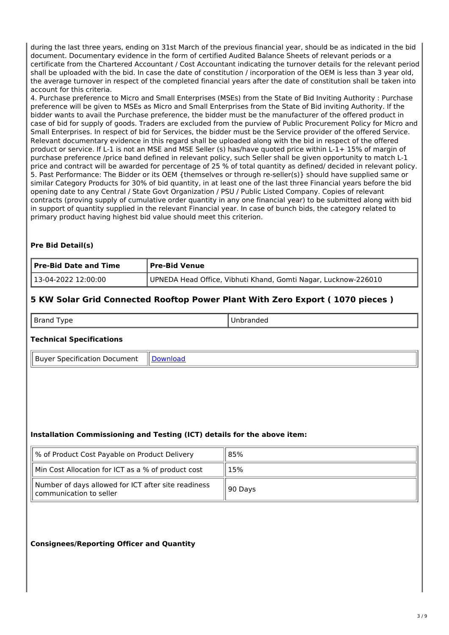during the last three years, ending on 31st March of the previous financial year, should be as indicated in the bid document. Documentary evidence in the form of certified Audited Balance Sheets of relevant periods or a certificate from the Chartered Accountant / Cost Accountant indicating the turnover details for the relevant period shall be uploaded with the bid. In case the date of constitution / incorporation of the OEM is less than 3 year old, the average turnover in respect of the completed financial years after the date of constitution shall be taken into account for this criteria.

4. Purchase preference to Micro and Small Enterprises (MSEs) from the State of Bid Inviting Authority : Purchase preference will be given to MSEs as Micro and Small Enterprises from the State of Bid inviting Authority. If the bidder wants to avail the Purchase preference, the bidder must be the manufacturer of the offered product in case of bid for supply of goods. Traders are excluded from the purview of Public Procurement Policy for Micro and Small Enterprises. In respect of bid for Services, the bidder must be the Service provider of the offered Service. Relevant documentary evidence in this regard shall be uploaded along with the bid in respect of the offered product or service. If L-1 is not an MSE and MSE Seller (s) has/have quoted price within L-1+ 15% of margin of purchase preference /price band defined in relevant policy, such Seller shall be given opportunity to match L-1 price and contract will be awarded for percentage of 25 % of total quantity as defined/ decided in relevant policy. 5. Past Performance: The Bidder or its OEM {themselves or through re-seller(s)} should have supplied same or similar Category Products for 30% of bid quantity, in at least one of the last three Financial years before the bid opening date to any Central / State Govt Organization / PSU / Public Listed Company. Copies of relevant contracts (proving supply of cumulative order quantity in any one financial year) to be submitted along with bid in support of quantity supplied in the relevant Financial year. In case of bunch bids, the category related to primary product having highest bid value should meet this criterion.

# **Pre Bid Detail(s)**

| <b>Pre-Bid Date and Time</b> | Pre-Bid Venue                                                  |  |
|------------------------------|----------------------------------------------------------------|--|
| 13-04-2022 12:00:00          | UPNEDA Head Office, Vibhuti Khand, Gomti Nagar, Lucknow-226010 |  |

# **5 KW Solar Grid Connected Rooftop Power Plant With Zero Export ( 1070 pieces )**

| -<br>vpe<br>мr<br>71 I I<br>. . | randed<br>זנ<br>. |
|---------------------------------|-------------------|
|---------------------------------|-------------------|

# **Technical Specifications**

Buyer Specification Document | [Download](https://mkp.gem.gov.in/catalog_data/catalog_support_document/buyer_documents/1560707/54/78/703/CatalogAttrs/SpecificationDocument/2022/4/8/final-tender-doc-secondary-edu-2022-23_2022-04-08-12-10-08_54ac21a92a335a7edddb9678c1b3c060.pdf)

# **Installation Commissioning and Testing (ICT) details for the above item:**

| % of Product Cost Payable on Product Delivery                                  | 85%     |  |
|--------------------------------------------------------------------------------|---------|--|
| Min Cost Allocation for ICT as a % of product cost                             | 15%     |  |
| Number of days allowed for ICT after site readiness<br>communication to seller | 90 Days |  |

# **Consignees/Reporting Officer and Quantity**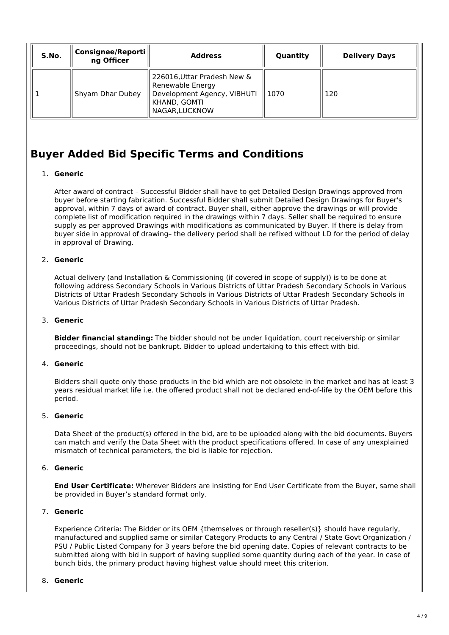| S.No. | Consignee/Reporti   <br>ng Officer | <b>Address</b>                                                                                                   | Quantity | <b>Delivery Days</b> |
|-------|------------------------------------|------------------------------------------------------------------------------------------------------------------|----------|----------------------|
|       | Shyam Dhar Dubey                   | 226016, Uttar Pradesh New &<br>Renewable Energy<br>Development Agency, VIBHUTI<br>KHAND, GOMTI<br>NAGAR, LUCKNOW | 1070     | 120                  |

# **Buyer Added Bid Specific Terms and Conditions**

# 1. **Generic**

After award of contract – Successful Bidder shall have to get Detailed Design Drawings approved from buyer before starting fabrication. Successful Bidder shall submit Detailed Design Drawings for Buyer's approval, within 7 days of award of contract. Buyer shall, either approve the drawings or will provide complete list of modification required in the drawings within 7 days. Seller shall be required to ensure supply as per approved Drawings with modifications as communicated by Buyer. If there is delay from buyer side in approval of drawing– the delivery period shall be refixed without LD for the period of delay in approval of Drawing.

# 2. **Generic**

Actual delivery (and Installation & Commissioning (if covered in scope of supply)) is to be done at following address Secondary Schools in Various Districts of Uttar Pradesh Secondary Schools in Various Districts of Uttar Pradesh Secondary Schools in Various Districts of Uttar Pradesh Secondary Schools in Various Districts of Uttar Pradesh Secondary Schools in Various Districts of Uttar Pradesh.

#### 3. **Generic**

**Bidder financial standing:** The bidder should not be under liquidation, court receivership or similar proceedings, should not be bankrupt. Bidder to upload undertaking to this effect with bid.

# 4. **Generic**

Bidders shall quote only those products in the bid which are not obsolete in the market and has at least 3 years residual market life i.e. the offered product shall not be declared end-of-life by the OEM before this period.

#### 5. **Generic**

Data Sheet of the product(s) offered in the bid, are to be uploaded along with the bid documents. Buyers can match and verify the Data Sheet with the product specifications offered. In case of any unexplained mismatch of technical parameters, the bid is liable for rejection.

#### 6. **Generic**

**End User Certificate:** Wherever Bidders are insisting for End User Certificate from the Buyer, same shall be provided in Buyer's standard format only.

# 7. **Generic**

Experience Criteria: The Bidder or its OEM {themselves or through reseller(s)} should have regularly, manufactured and supplied same or similar Category Products to any Central / State Govt Organization / PSU / Public Listed Company for 3 years before the bid opening date. Copies of relevant contracts to be submitted along with bid in support of having supplied some quantity during each of the year. In case of bunch bids, the primary product having highest value should meet this criterion.

#### 8. **Generic**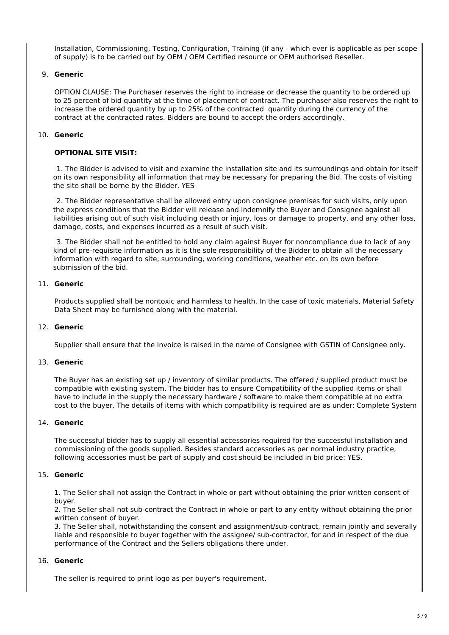Installation, Commissioning, Testing, Configuration, Training (if any - which ever is applicable as per scope of supply) is to be carried out by OEM / OEM Certified resource or OEM authorised Reseller.

#### 9. **Generic**

OPTION CLAUSE: The Purchaser reserves the right to increase or decrease the quantity to be ordered up to 25 percent of bid quantity at the time of placement of contract. The purchaser also reserves the right to increase the ordered quantity by up to 25% of the contracted quantity during the currency of the contract at the contracted rates. Bidders are bound to accept the orders accordingly.

#### 10. **Generic**

#### **OPTIONAL SITE VISIT:**

1. The Bidder is advised to visit and examine the installation site and its surroundings and obtain for itself on its own responsibility all information that may be necessary for preparing the Bid. The costs of visiting the site shall be borne by the Bidder. YES

2. The Bidder representative shall be allowed entry upon consignee premises for such visits, only upon the express conditions that the Bidder will release and indemnify the Buyer and Consignee against all liabilities arising out of such visit including death or injury, loss or damage to property, and any other loss, damage, costs, and expenses incurred as a result of such visit.

3. The Bidder shall not be entitled to hold any claim against Buyer for noncompliance due to lack of any kind of pre-requisite information as it is the sole responsibility of the Bidder to obtain all the necessary information with regard to site, surrounding, working conditions, weather etc. on its own before submission of the bid.

#### 11. **Generic**

Products supplied shall be nontoxic and harmless to health. In the case of toxic materials, Material Safety Data Sheet may be furnished along with the material.

# 12. **Generic**

Supplier shall ensure that the Invoice is raised in the name of Consignee with GSTIN of Consignee only.

#### 13. **Generic**

The Buyer has an existing set up / inventory of similar products. The offered / supplied product must be compatible with existing system. The bidder has to ensure Compatibility of the supplied items or shall have to include in the supply the necessary hardware / software to make them compatible at no extra cost to the buyer. The details of items with which compatibility is required are as under: Complete System

#### 14. **Generic**

The successful bidder has to supply all essential accessories required for the successful installation and commissioning of the goods supplied. Besides standard accessories as per normal industry practice, following accessories must be part of supply and cost should be included in bid price: YES.

## 15. **Generic**

1. The Seller shall not assign the Contract in whole or part without obtaining the prior written consent of buyer.

2. The Seller shall not sub-contract the Contract in whole or part to any entity without obtaining the prior written consent of buyer.

3. The Seller shall, notwithstanding the consent and assignment/sub-contract, remain jointly and severally liable and responsible to buyer together with the assignee/ sub-contractor, for and in respect of the due performance of the Contract and the Sellers obligations there under.

#### 16. **Generic**

The seller is required to print logo as per buyer's requirement.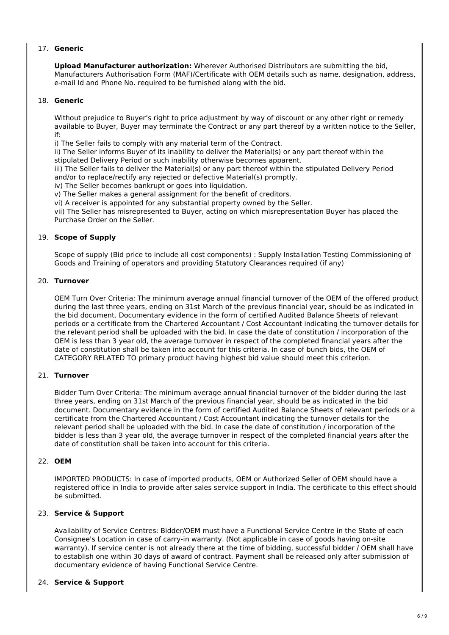# 17. **Generic**

**Upload Manufacturer authorization:** Wherever Authorised Distributors are submitting the bid, Manufacturers Authorisation Form (MAF)/Certificate with OEM details such as name, designation, address, e-mail Id and Phone No. required to be furnished along with the bid.

## 18. **Generic**

Without prejudice to Buyer's right to price adjustment by way of discount or any other right or remedy available to Buyer, Buyer may terminate the Contract or any part thereof by a written notice to the Seller, if:

i) The Seller fails to comply with any material term of the Contract.

ii) The Seller informs Buyer of its inability to deliver the Material(s) or any part thereof within the stipulated Delivery Period or such inability otherwise becomes apparent.

iii) The Seller fails to deliver the Material(s) or any part thereof within the stipulated Delivery Period and/or to replace/rectify any rejected or defective Material(s) promptly.

iv) The Seller becomes bankrupt or goes into liquidation.

v) The Seller makes a general assignment for the benefit of creditors.

vi) A receiver is appointed for any substantial property owned by the Seller.

vii) The Seller has misrepresented to Buyer, acting on which misrepresentation Buyer has placed the Purchase Order on the Seller.

#### 19. **Scope of Supply**

Scope of supply (Bid price to include all cost components) : Supply Installation Testing Commissioning of Goods and Training of operators and providing Statutory Clearances required (if any)

#### 20. **Turnover**

OEM Turn Over Criteria: The minimum average annual financial turnover of the OEM of the offered product during the last three years, ending on 31st March of the previous financial year, should be as indicated in the bid document. Documentary evidence in the form of certified Audited Balance Sheets of relevant periods or a certificate from the Chartered Accountant / Cost Accountant indicating the turnover details for the relevant period shall be uploaded with the bid. In case the date of constitution / incorporation of the OEM is less than 3 year old, the average turnover in respect of the completed financial years after the date of constitution shall be taken into account for this criteria. In case of bunch bids, the OEM of CATEGORY RELATED TO primary product having highest bid value should meet this criterion.

#### 21. **Turnover**

Bidder Turn Over Criteria: The minimum average annual financial turnover of the bidder during the last three years, ending on 31st March of the previous financial year, should be as indicated in the bid document. Documentary evidence in the form of certified Audited Balance Sheets of relevant periods or a certificate from the Chartered Accountant / Cost Accountant indicating the turnover details for the relevant period shall be uploaded with the bid. In case the date of constitution / incorporation of the bidder is less than 3 year old, the average turnover in respect of the completed financial years after the date of constitution shall be taken into account for this criteria.

#### 22. **OEM**

IMPORTED PRODUCTS: In case of imported products, OEM or Authorized Seller of OEM should have a registered office in India to provide after sales service support in India. The certificate to this effect should be submitted.

# 23. **Service & Support**

Availability of Service Centres: Bidder/OEM must have a Functional Service Centre in the State of each Consignee's Location in case of carry-in warranty. (Not applicable in case of goods having on-site warranty). If service center is not already there at the time of bidding, successful bidder / OEM shall have to establish one within 30 days of award of contract. Payment shall be released only after submission of documentary evidence of having Functional Service Centre.

#### 24. **Service & Support**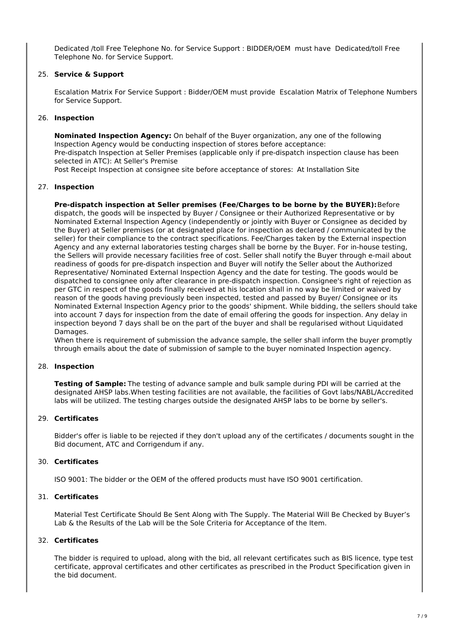Dedicated /toll Free Telephone No. for Service Support : BIDDER/OEM must have Dedicated/toll Free Telephone No. for Service Support.

#### 25. **Service & Support**

Escalation Matrix For Service Support : Bidder/OEM must provide Escalation Matrix of Telephone Numbers for Service Support.

#### 26. **Inspection**

**Nominated Inspection Agency:** On behalf of the Buyer organization, any one of the following Inspection Agency would be conducting inspection of stores before acceptance: Pre-dispatch Inspection at Seller Premises (applicable only if pre-dispatch inspection clause has been selected in ATC): At Seller's Premise

Post Receipt Inspection at consignee site before acceptance of stores: At Installation Site

#### 27. **Inspection**

**Pre-dispatch inspection at Seller premises (Fee/Charges to be borne by the BUYER):**Before dispatch, the goods will be inspected by Buyer / Consignee or their Authorized Representative or by Nominated External Inspection Agency (independently or jointly with Buyer or Consignee as decided by the Buyer) at Seller premises (or at designated place for inspection as declared / communicated by the seller) for their compliance to the contract specifications. Fee/Charges taken by the External inspection Agency and any external laboratories testing charges shall be borne by the Buyer. For in-house testing, the Sellers will provide necessary facilities free of cost. Seller shall notify the Buyer through e-mail about readiness of goods for pre-dispatch inspection and Buyer will notify the Seller about the Authorized Representative/ Nominated External Inspection Agency and the date for testing. The goods would be dispatched to consignee only after clearance in pre-dispatch inspection. Consignee's right of rejection as per GTC in respect of the goods finally received at his location shall in no way be limited or waived by reason of the goods having previously been inspected, tested and passed by Buyer/ Consignee or its Nominated External Inspection Agency prior to the goods' shipment. While bidding, the sellers should take into account 7 days for inspection from the date of email offering the goods for inspection. Any delay in inspection beyond 7 days shall be on the part of the buyer and shall be regularised without Liquidated **Damages** 

When there is requirement of submission the advance sample, the seller shall inform the buyer promptly through emails about the date of submission of sample to the buyer nominated Inspection agency.

#### 28. **Inspection**

**Testing of Sample:** The testing of advance sample and bulk sample during PDI will be carried at the designated AHSP labs.When testing facilities are not available, the facilities of Govt labs/NABL/Accredited labs will be utilized. The testing charges outside the designated AHSP labs to be borne by seller's.

#### 29. **Certificates**

Bidder's offer is liable to be rejected if they don't upload any of the certificates / documents sought in the Bid document, ATC and Corrigendum if any.

#### 30. **Certificates**

ISO 9001: The bidder or the OEM of the offered products must have ISO 9001 certification.

#### 31. **Certificates**

Material Test Certificate Should Be Sent Along with The Supply. The Material Will Be Checked by Buyer's Lab & the Results of the Lab will be the Sole Criteria for Acceptance of the Item.

# 32. **Certificates**

The bidder is required to upload, along with the bid, all relevant certificates such as BIS licence, type test certificate, approval certificates and other certificates as prescribed in the Product Specification given in the bid document.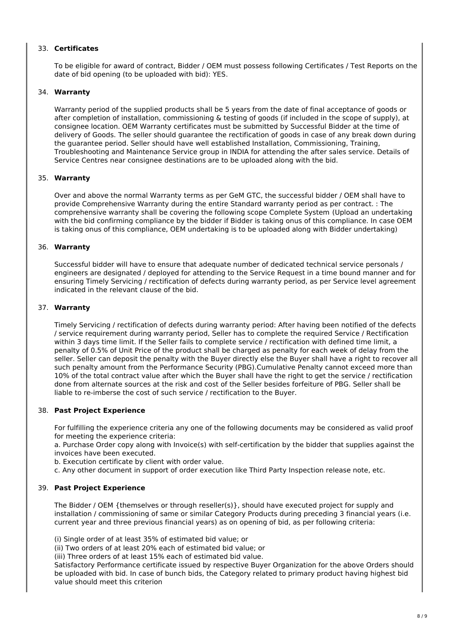# 33. **Certificates**

To be eligible for award of contract, Bidder / OEM must possess following Certificates / Test Reports on the date of bid opening (to be uploaded with bid): YES.

#### 34. **Warranty**

Warranty period of the supplied products shall be 5 years from the date of final acceptance of goods or after completion of installation, commissioning & testing of goods (if included in the scope of supply), at consignee location. OEM Warranty certificates must be submitted by Successful Bidder at the time of delivery of Goods. The seller should guarantee the rectification of goods in case of any break down during the guarantee period. Seller should have well established Installation, Commissioning, Training, Troubleshooting and Maintenance Service group in INDIA for attending the after sales service. Details of Service Centres near consignee destinations are to be uploaded along with the bid.

#### 35. **Warranty**

Over and above the normal Warranty terms as per GeM GTC, the successful bidder / OEM shall have to provide Comprehensive Warranty during the entire Standard warranty period as per contract. : The comprehensive warranty shall be covering the following scope Complete System (Upload an undertaking with the bid confirming compliance by the bidder if Bidder is taking onus of this compliance. In case OEM is taking onus of this compliance, OEM undertaking is to be uploaded along with Bidder undertaking)

#### 36. **Warranty**

Successful bidder will have to ensure that adequate number of dedicated technical service personals / engineers are designated / deployed for attending to the Service Request in a time bound manner and for ensuring Timely Servicing / rectification of defects during warranty period, as per Service level agreement indicated in the relevant clause of the bid.

#### 37. **Warranty**

Timely Servicing / rectification of defects during warranty period: After having been notified of the defects / service requirement during warranty period, Seller has to complete the required Service / Rectification within 3 days time limit. If the Seller fails to complete service / rectification with defined time limit, a penalty of 0.5% of Unit Price of the product shall be charged as penalty for each week of delay from the seller. Seller can deposit the penalty with the Buyer directly else the Buyer shall have a right to recover all such penalty amount from the Performance Security (PBG).Cumulative Penalty cannot exceed more than 10% of the total contract value after which the Buyer shall have the right to get the service / rectification done from alternate sources at the risk and cost of the Seller besides forfeiture of PBG. Seller shall be liable to re-imberse the cost of such service / rectification to the Buyer.

#### 38. **Past Project Experience**

For fulfilling the experience criteria any one of the following documents may be considered as valid proof for meeting the experience criteria:

a. Purchase Order copy along with Invoice(s) with self-certification by the bidder that supplies against the invoices have been executed.

b. Execution certificate by client with order value.

c. Any other document in support of order execution like Third Party Inspection release note, etc.

#### 39. **Past Project Experience**

The Bidder / OEM {themselves or through reseller(s)}, should have executed project for supply and installation / commissioning of same or similar Category Products during preceding 3 financial years (i.e. current year and three previous financial years) as on opening of bid, as per following criteria:

(i) Single order of at least 35% of estimated bid value; or

(ii) Two orders of at least 20% each of estimated bid value; or

(iii) Three orders of at least 15% each of estimated bid value.

Satisfactory Performance certificate issued by respective Buyer Organization for the above Orders should be uploaded with bid. In case of bunch bids, the Category related to primary product having highest bid value should meet this criterion